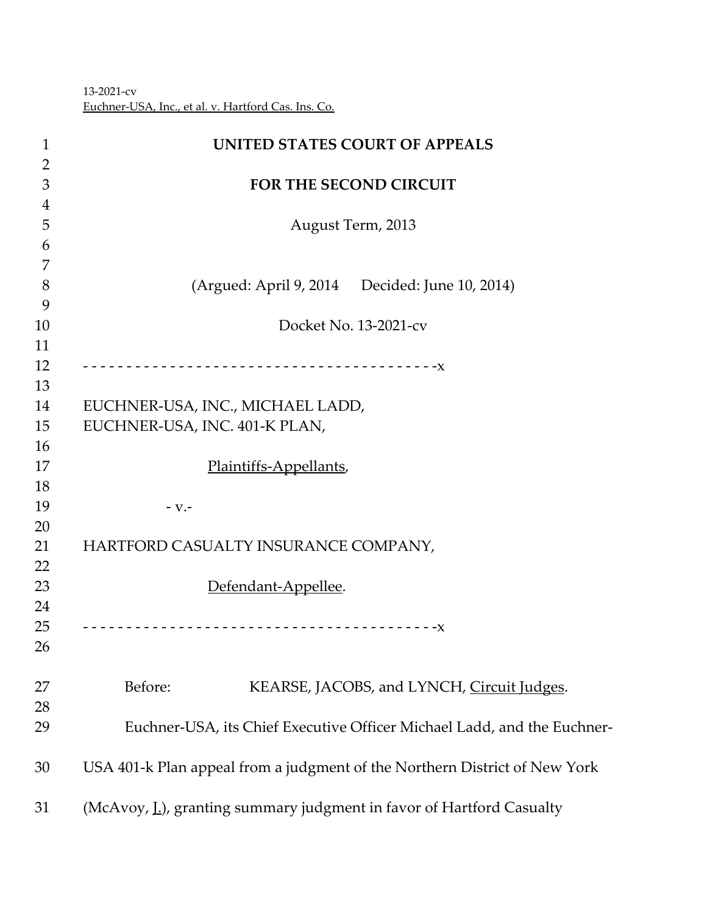‐2021‐cv Euchner‐USA, Inc., et al. v. Hartford Cas. Ins. Co.

| $\mathbf 1$    | UNITED STATES COURT OF APPEALS                                             |
|----------------|----------------------------------------------------------------------------|
| $\overline{2}$ |                                                                            |
| 3              | <b>FOR THE SECOND CIRCUIT</b>                                              |
| $\overline{4}$ |                                                                            |
| 5              | August Term, 2013                                                          |
| 6              |                                                                            |
| 7              |                                                                            |
| 8              | (Argued: April 9, 2014 Decided: June 10, 2014)                             |
| 9              |                                                                            |
| 10             | Docket No. 13-2021-cv                                                      |
| 11             |                                                                            |
| 12             |                                                                            |
| 13             |                                                                            |
| 14             | EUCHNER-USA, INC., MICHAEL LADD,                                           |
| 15             | EUCHNER-USA, INC. 401-K PLAN,                                              |
| 16             |                                                                            |
| 17             | Plaintiffs-Appellants,                                                     |
| 18             |                                                                            |
| 19             | $-V.$                                                                      |
| 20             |                                                                            |
| 21             | HARTFORD CASUALTY INSURANCE COMPANY,                                       |
| 22             |                                                                            |
| 23<br>24       | Defendant-Appellee.                                                        |
| 25             |                                                                            |
| 26             |                                                                            |
|                |                                                                            |
| 27             | Before:<br>KEARSE, JACOBS, and LYNCH, Circuit Judges.                      |
| 28             |                                                                            |
| 29             | Euchner-USA, its Chief Executive Officer Michael Ladd, and the Euchner-    |
| 30             | USA 401-k Plan appeal from a judgment of the Northern District of New York |
| 31             | (McAvoy, L.), granting summary judgment in favor of Hartford Casualty      |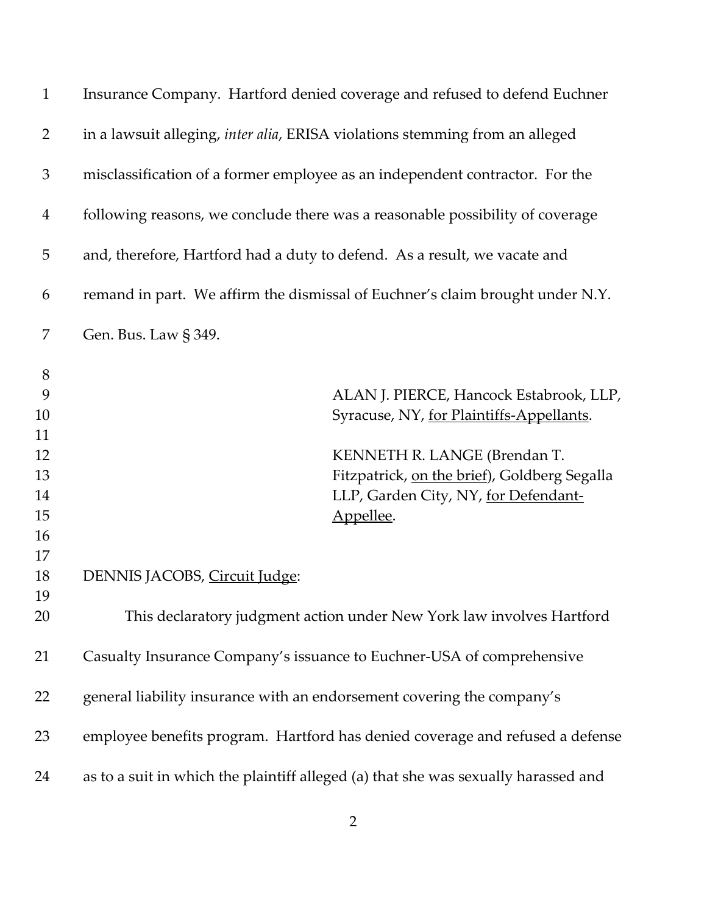| $\mathbf{1}$   | Insurance Company. Hartford denied coverage and refused to defend Euchner          |
|----------------|------------------------------------------------------------------------------------|
| $\overline{2}$ | in a lawsuit alleging, inter alia, ERISA violations stemming from an alleged       |
| $\mathfrak{Z}$ | misclassification of a former employee as an independent contractor. For the       |
| $\overline{4}$ | following reasons, we conclude there was a reasonable possibility of coverage      |
| 5              | and, therefore, Hartford had a duty to defend. As a result, we vacate and          |
| 6              | remand in part. We affirm the dismissal of Euchner's claim brought under N.Y.      |
| 7              | Gen. Bus. Law § 349.                                                               |
| $8\,$          |                                                                                    |
| 9              | ALAN J. PIERCE, Hancock Estabrook, LLP,                                            |
| 10             | Syracuse, NY, for Plaintiffs-Appellants.                                           |
| 11             |                                                                                    |
| 12             | KENNETH R. LANGE (Brendan T.                                                       |
| 13             | Fitzpatrick, on the brief), Goldberg Segalla                                       |
| 14             | LLP, Garden City, NY, for Defendant-                                               |
| 15             | Appellee.                                                                          |
| 16             |                                                                                    |
| 17             |                                                                                    |
| 18             | DENNIS JACOBS, Circuit Judge:                                                      |
| 19             |                                                                                    |
| 20             | This declaratory judgment action under New York law involves Hartford              |
| 21             | Casualty Insurance Company's issuance to Euchner-USA of comprehensive              |
| 22             | general liability insurance with an endorsement covering the company's             |
| 23             | employee benefits program. Hartford has denied coverage and refused a defense      |
| 24             | as to a suit in which the plaintiff alleged (a) that she was sexually harassed and |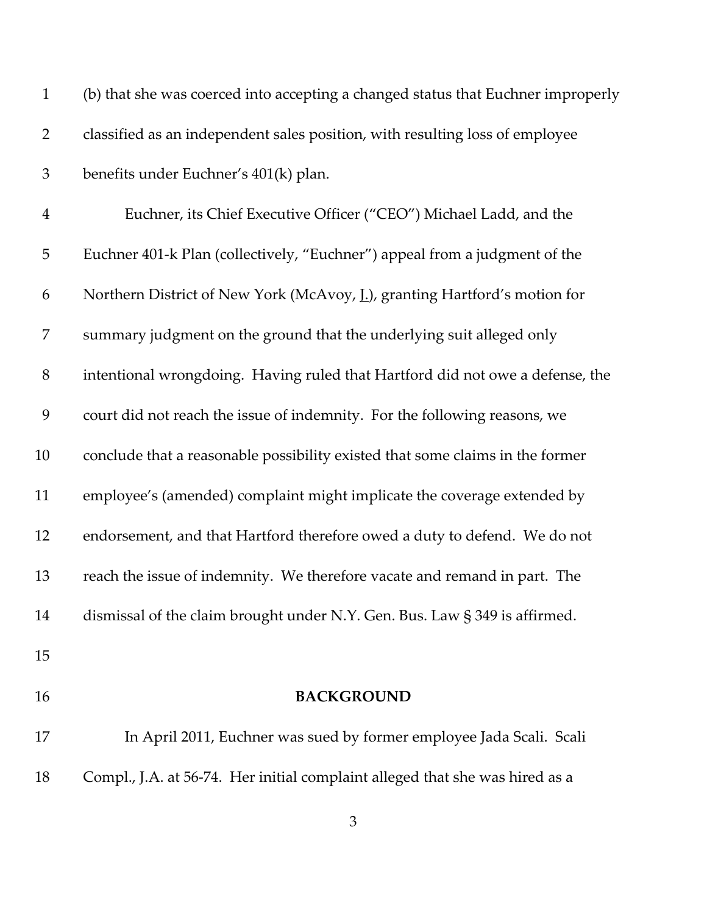| $\mathbf{1}$   | (b) that she was coerced into accepting a changed status that Euchner improperly |
|----------------|----------------------------------------------------------------------------------|
| $\overline{2}$ | classified as an independent sales position, with resulting loss of employee     |
| $\mathfrak{Z}$ | benefits under Euchner's 401(k) plan.                                            |
| $\overline{4}$ | Euchner, its Chief Executive Officer ("CEO") Michael Ladd, and the               |
| 5              | Euchner 401-k Plan (collectively, "Euchner") appeal from a judgment of the       |
| 6              | Northern District of New York (McAvoy, L.), granting Hartford's motion for       |
| 7              | summary judgment on the ground that the underlying suit alleged only             |
| $8\,$          | intentional wrongdoing. Having ruled that Hartford did not owe a defense, the    |
| 9              | court did not reach the issue of indemnity. For the following reasons, we        |
| 10             | conclude that a reasonable possibility existed that some claims in the former    |
| 11             | employee's (amended) complaint might implicate the coverage extended by          |
| 12             | endorsement, and that Hartford therefore owed a duty to defend. We do not        |
| 13             | reach the issue of indemnity. We therefore vacate and remand in part. The        |
| 14             | dismissal of the claim brought under N.Y. Gen. Bus. Law § 349 is affirmed.       |
| 15             |                                                                                  |
| 16             | <b>BACKGROUND</b>                                                                |
| 17             | In April 2011, Euchner was sued by former employee Jada Scali. Scali             |
| 18             | Compl., J.A. at 56-74. Her initial complaint alleged that she was hired as a     |
|                |                                                                                  |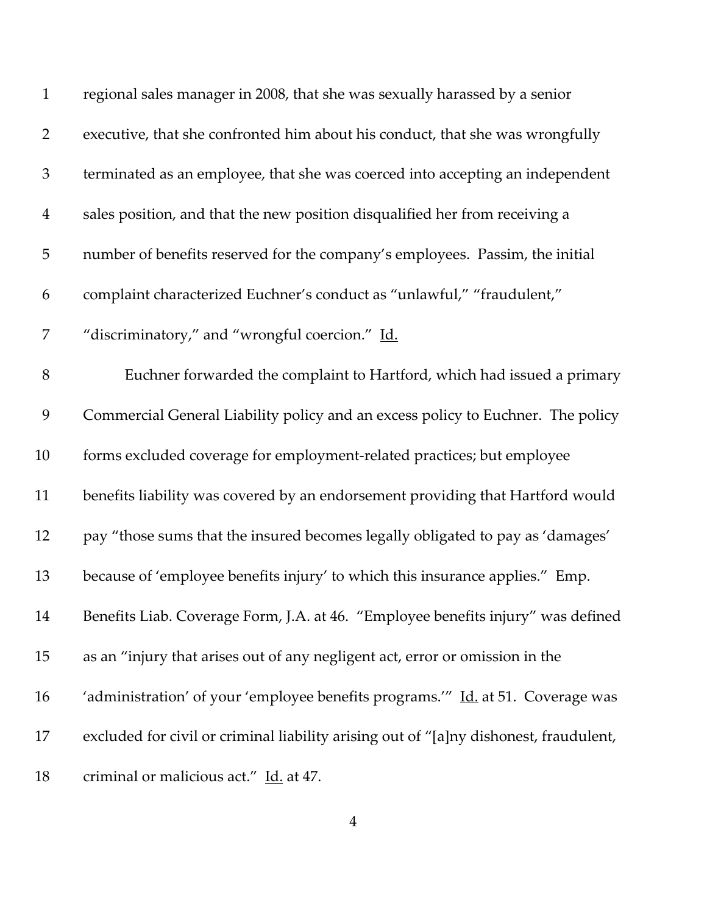| $\mathbf{1}$   | regional sales manager in 2008, that she was sexually harassed by a senior            |
|----------------|---------------------------------------------------------------------------------------|
| $\overline{2}$ | executive, that she confronted him about his conduct, that she was wrongfully         |
| $\mathfrak{Z}$ | terminated as an employee, that she was coerced into accepting an independent         |
| $\overline{4}$ | sales position, and that the new position disqualified her from receiving a           |
| 5              | number of benefits reserved for the company's employees. Passim, the initial          |
| 6              | complaint characterized Euchner's conduct as "unlawful," "fraudulent,"                |
| 7              | "discriminatory," and "wrongful coercion." Id.                                        |
| $8\,$          | Euchner forwarded the complaint to Hartford, which had issued a primary               |
| 9              | Commercial General Liability policy and an excess policy to Euchner. The policy       |
| 10             | forms excluded coverage for employment-related practices; but employee                |
| 11             | benefits liability was covered by an endorsement providing that Hartford would        |
| 12             | pay "those sums that the insured becomes legally obligated to pay as 'damages'        |
| 13             | because of 'employee benefits injury' to which this insurance applies." Emp.          |
| 14             | Benefits Liab. Coverage Form, J.A. at 46. "Employee benefits injury" was defined      |
| 15             | as an "injury that arises out of any negligent act, error or omission in the          |
| 16             | 'administration' of your 'employee benefits programs.'" Id. at 51. Coverage was       |
| 17             | excluded for civil or criminal liability arising out of "[a]ny dishonest, fraudulent, |
| 18             | criminal or malicious act." Id. at 47.                                                |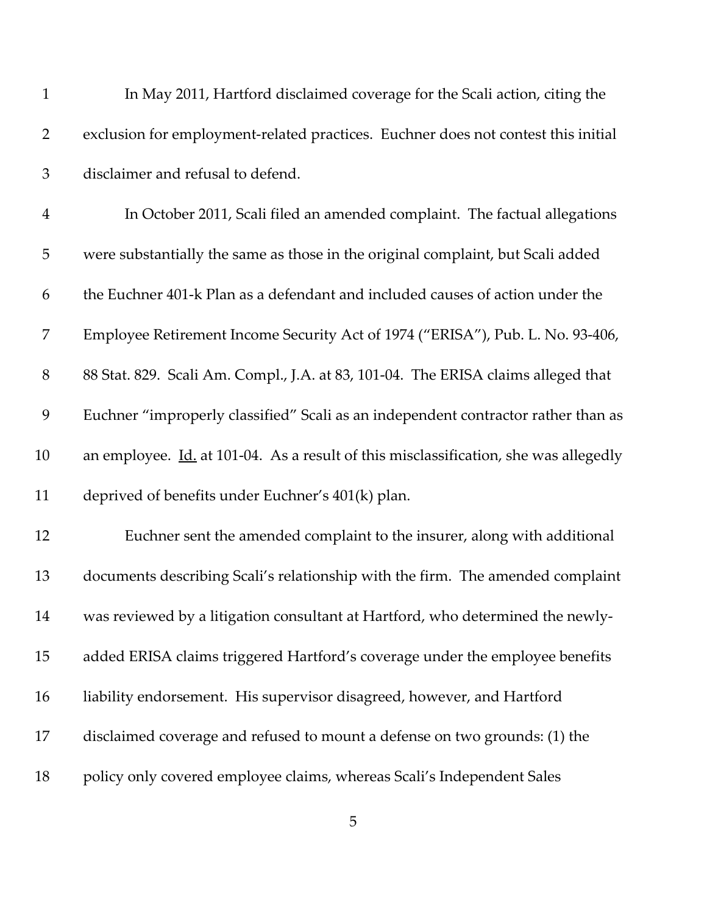| 1              | In May 2011, Hartford disclaimed coverage for the Scali action, citing the                  |
|----------------|---------------------------------------------------------------------------------------------|
| $\overline{2}$ | exclusion for employment-related practices. Euchner does not contest this initial           |
| $\mathfrak{Z}$ | disclaimer and refusal to defend.                                                           |
| $\overline{4}$ | In October 2011, Scali filed an amended complaint. The factual allegations                  |
| 5              | were substantially the same as those in the original complaint, but Scali added             |
| 6              | the Euchner 401-k Plan as a defendant and included causes of action under the               |
| 7              | Employee Retirement Income Security Act of 1974 ("ERISA"), Pub. L. No. 93-406,              |
| $8\,$          | 88 Stat. 829. Scali Am. Compl., J.A. at 83, 101-04. The ERISA claims alleged that           |
| 9              | Euchner "improperly classified" Scali as an independent contractor rather than as           |
| 10             | an employee. <i>Id.</i> at 101-04. As a result of this misclassification, she was allegedly |
| 11             | deprived of benefits under Euchner's 401(k) plan.                                           |
| 12             | Euchner sent the amended complaint to the insurer, along with additional                    |
| 13             | documents describing Scali's relationship with the firm. The amended complaint              |
| 14             | was reviewed by a litigation consultant at Hartford, who determined the newly-              |
| 15             | added ERISA claims triggered Hartford's coverage under the employee benefits                |
| 16             | liability endorsement. His supervisor disagreed, however, and Hartford                      |
| 17             | disclaimed coverage and refused to mount a defense on two grounds: (1) the                  |
| 18             | policy only covered employee claims, whereas Scali's Independent Sales                      |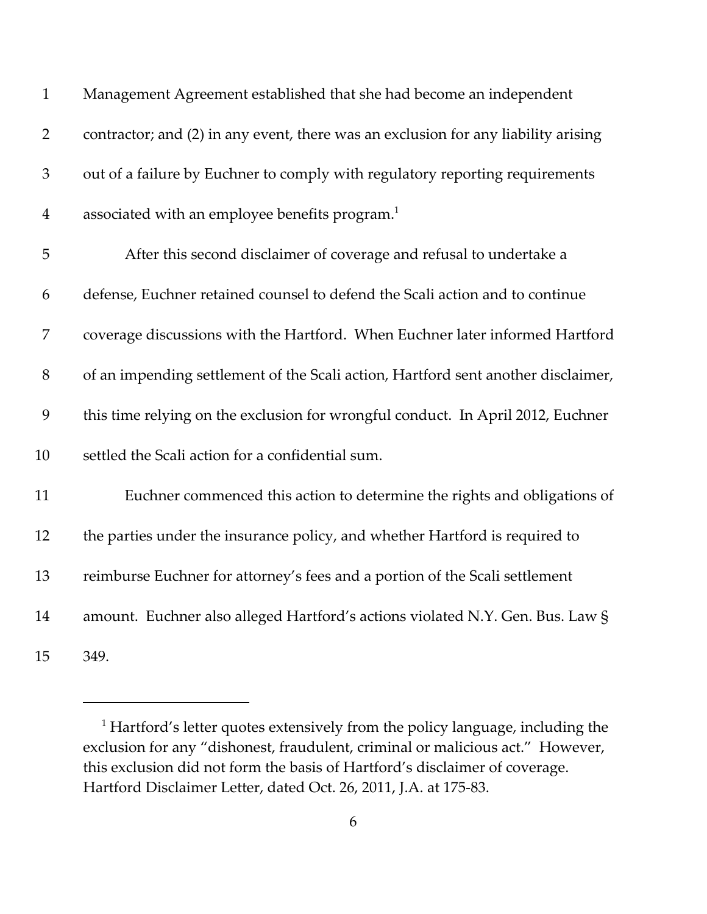| $\mathbf{1}$   | Management Agreement established that she had become an independent                |
|----------------|------------------------------------------------------------------------------------|
| $\overline{2}$ | contractor; and (2) in any event, there was an exclusion for any liability arising |
| 3              | out of a failure by Euchner to comply with regulatory reporting requirements       |
| $\overline{4}$ | associated with an employee benefits program. <sup>1</sup>                         |
| 5              | After this second disclaimer of coverage and refusal to undertake a                |
| 6              | defense, Euchner retained counsel to defend the Scali action and to continue       |
| 7              | coverage discussions with the Hartford. When Euchner later informed Hartford       |
| 8              | of an impending settlement of the Scali action, Hartford sent another disclaimer,  |
| 9              | this time relying on the exclusion for wrongful conduct. In April 2012, Euchner    |
| 10             | settled the Scali action for a confidential sum.                                   |
| 11             | Euchner commenced this action to determine the rights and obligations of           |
| 12             | the parties under the insurance policy, and whether Hartford is required to        |
| 13             | reimburse Euchner for attorney's fees and a portion of the Scali settlement        |
| 14             | amount. Euchner also alleged Hartford's actions violated N.Y. Gen. Bus. Law §      |
| 15             | 349.                                                                               |

<sup>&</sup>lt;sup>1</sup> Hartford's letter quotes extensively from the policy language, including the exclusion for any "dishonest, fraudulent, criminal or malicious act." However, this exclusion did not form the basis of Hartford's disclaimer of coverage. Hartford Disclaimer Letter, dated Oct. 26, 2011, J.A. at 175‐83.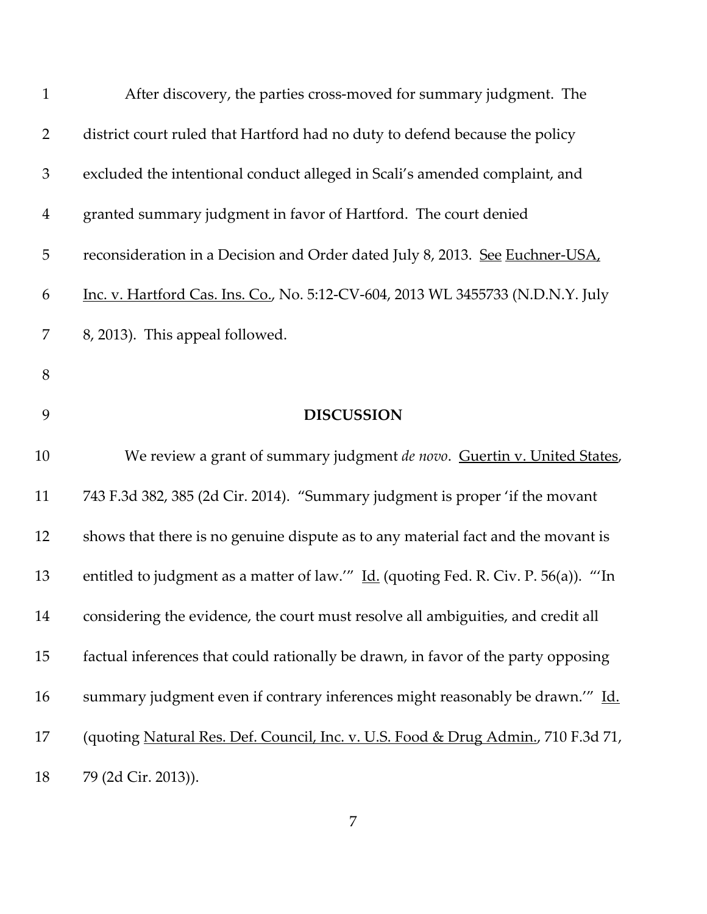| $\mathbf{1}$   | After discovery, the parties cross-moved for summary judgment. The                 |
|----------------|------------------------------------------------------------------------------------|
| $\overline{2}$ | district court ruled that Hartford had no duty to defend because the policy        |
| $\mathfrak{Z}$ | excluded the intentional conduct alleged in Scali's amended complaint, and         |
| $\overline{4}$ | granted summary judgment in favor of Hartford. The court denied                    |
| 5              | reconsideration in a Decision and Order dated July 8, 2013. See Euchner-USA,       |
| 6              | Inc. v. Hartford Cas. Ins. Co., No. 5:12-CV-604, 2013 WL 3455733 (N.D.N.Y. July    |
| 7              | 8, 2013). This appeal followed.                                                    |
| 8              |                                                                                    |
| 9              | <b>DISCUSSION</b>                                                                  |
| 10             | We review a grant of summary judgment de novo. Guertin v. United States,           |
| 11             | 743 F.3d 382, 385 (2d Cir. 2014). "Summary judgment is proper 'if the movant       |
| 12             | shows that there is no genuine dispute as to any material fact and the movant is   |
| 13             | entitled to judgment as a matter of law." Id. (quoting Fed. R. Civ. P. 56(a)). "In |
| 14             | considering the evidence, the court must resolve all ambiguities, and credit all   |
| 15             | factual inferences that could rationally be drawn, in favor of the party opposing  |
| 16             | summary judgment even if contrary inferences might reasonably be drawn." Id.       |
| 17             | (quoting Natural Res. Def. Council, Inc. v. U.S. Food & Drug Admin., 710 F.3d 71,  |
| 18             | 79 (2d Cir. 2013)).                                                                |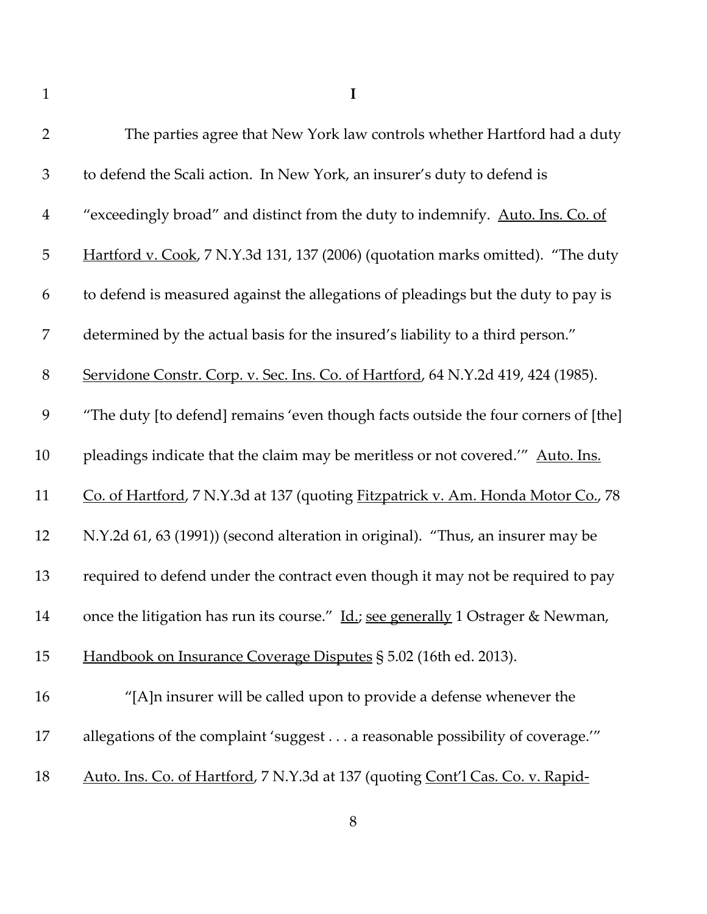**I**

| $\overline{2}$ | The parties agree that New York law controls whether Hartford had a duty           |
|----------------|------------------------------------------------------------------------------------|
| $\mathfrak{Z}$ | to defend the Scali action. In New York, an insurer's duty to defend is            |
| $\overline{4}$ | "exceedingly broad" and distinct from the duty to indemnify. Auto. Ins. Co. of     |
| $\mathbf 5$    | Hartford v. Cook, 7 N.Y.3d 131, 137 (2006) (quotation marks omitted). "The duty    |
| 6              | to defend is measured against the allegations of pleadings but the duty to pay is  |
| 7              | determined by the actual basis for the insured's liability to a third person."     |
| $8\,$          | Servidone Constr. Corp. v. Sec. Ins. Co. of Hartford, 64 N.Y.2d 419, 424 (1985).   |
| 9              | "The duty [to defend] remains 'even though facts outside the four corners of [the] |
| 10             | pleadings indicate that the claim may be meritless or not covered." Auto. Ins.     |
| 11             | Co. of Hartford, 7 N.Y.3d at 137 (quoting Fitzpatrick v. Am. Honda Motor Co., 78   |
| 12             | N.Y.2d 61, 63 (1991)) (second alteration in original). "Thus, an insurer may be    |
| 13             | required to defend under the contract even though it may not be required to pay    |
| 14             | once the litigation has run its course." Id.; see generally 1 Ostrager & Newman,   |
| 15             | Handbook on Insurance Coverage Disputes § 5.02 (16th ed. 2013).                    |
| 16             | "[A]n insurer will be called upon to provide a defense whenever the                |
| 17             | allegations of the complaint 'suggest a reasonable possibility of coverage.'"      |
| 18             | Auto. Ins. Co. of Hartford, 7 N.Y.3d at 137 (quoting Cont'l Cas. Co. v. Rapid-     |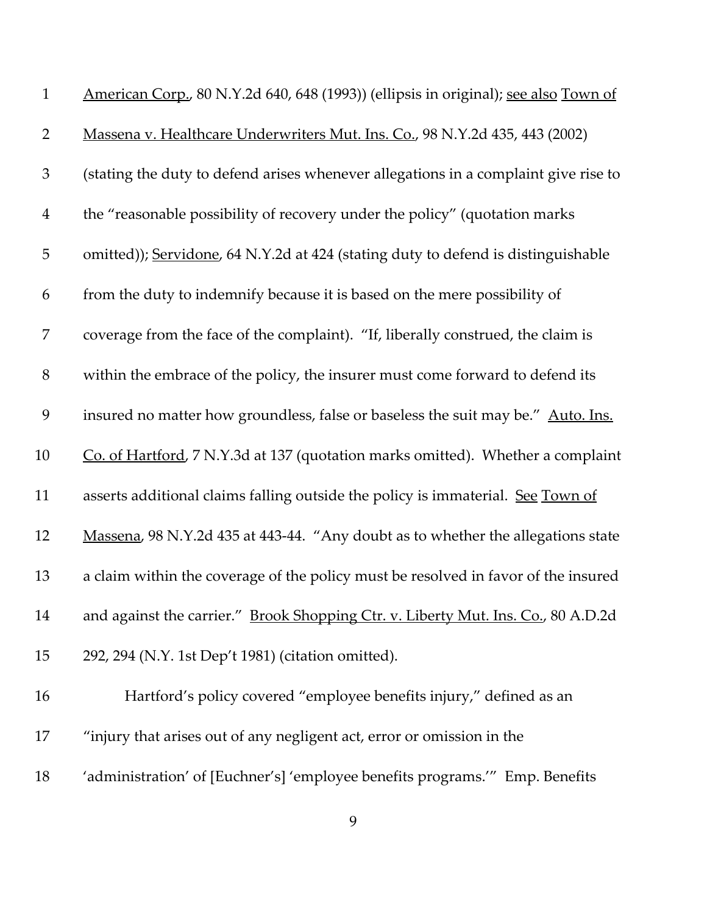| $\mathbf{1}$   | American Corp., 80 N.Y.2d 640, 648 (1993)) (ellipsis in original); see also Town of |
|----------------|-------------------------------------------------------------------------------------|
| $\overline{2}$ | Massena v. Healthcare Underwriters Mut. Ins. Co., 98 N.Y.2d 435, 443 (2002)         |
| $\mathfrak{Z}$ | (stating the duty to defend arises whenever allegations in a complaint give rise to |
| $\overline{4}$ | the "reasonable possibility of recovery under the policy" (quotation marks          |
| $\overline{5}$ | omitted)); Servidone, 64 N.Y.2d at 424 (stating duty to defend is distinguishable   |
| 6              | from the duty to indemnify because it is based on the mere possibility of           |
| 7              | coverage from the face of the complaint). "If, liberally construed, the claim is    |
| $8\,$          | within the embrace of the policy, the insurer must come forward to defend its       |
| 9              | insured no matter how groundless, false or baseless the suit may be." Auto. Ins.    |
| 10             | Co. of Hartford, 7 N.Y.3d at 137 (quotation marks omitted). Whether a complaint     |
| 11             | asserts additional claims falling outside the policy is immaterial. See Town of     |
| 12             | Massena, 98 N.Y.2d 435 at 443-44. "Any doubt as to whether the allegations state    |
| 13             | a claim within the coverage of the policy must be resolved in favor of the insured  |
| 14             | and against the carrier." Brook Shopping Ctr. v. Liberty Mut. Ins. Co., 80 A.D.2d   |
| 15             | 292, 294 (N.Y. 1st Dep't 1981) (citation omitted).                                  |
| 16             | Hartford's policy covered "employee benefits injury," defined as an                 |
| 17             | "injury that arises out of any negligent act, error or omission in the              |
| 18             | 'administration' of [Euchner's] 'employee benefits programs.'" Emp. Benefits        |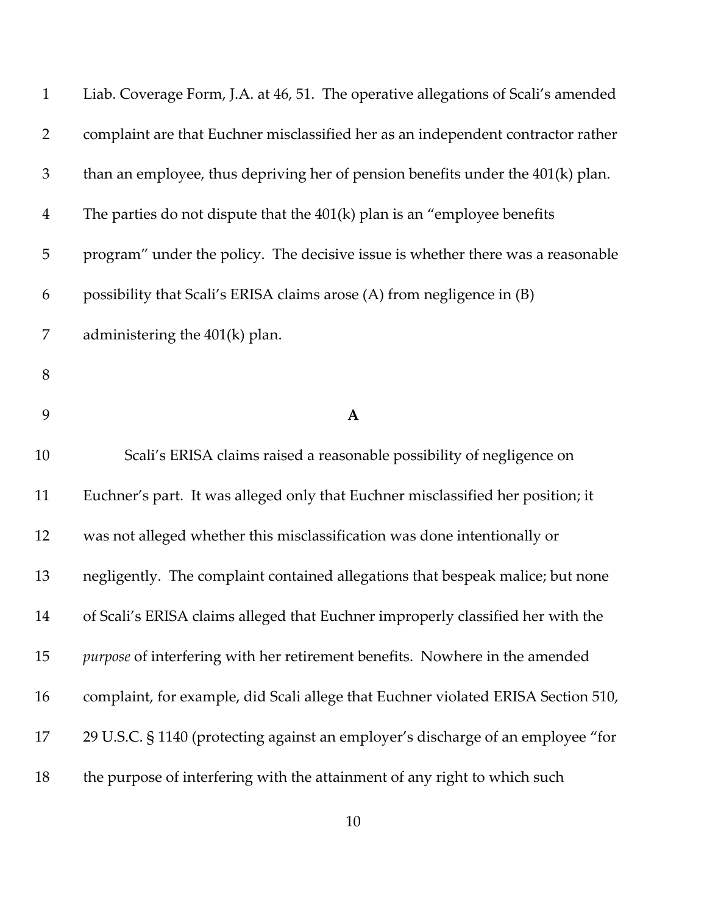| $\mathbf{1}$   | Liab. Coverage Form, J.A. at 46, 51. The operative allegations of Scali's amended |
|----------------|-----------------------------------------------------------------------------------|
| $\overline{2}$ | complaint are that Euchner misclassified her as an independent contractor rather  |
| 3              | than an employee, thus depriving her of pension benefits under the 401(k) plan.   |
| $\overline{4}$ | The parties do not dispute that the $401(k)$ plan is an "employee benefits"       |
| 5              | program" under the policy. The decisive issue is whether there was a reasonable   |
| 6              | possibility that Scali's ERISA claims arose (A) from negligence in (B)            |
| 7              | administering the $401(k)$ plan.                                                  |
| $8\,$          |                                                                                   |
| 9              | $\mathbf{A}$                                                                      |
| 10             | Scali's ERISA claims raised a reasonable possibility of negligence on             |
| 11             | Euchner's part. It was alleged only that Euchner misclassified her position; it   |
| 12             | was not alleged whether this misclassification was done intentionally or          |
| 13             | negligently. The complaint contained allegations that bespeak malice; but none    |
| 14             | of Scali's ERISA claims alleged that Euchner improperly classified her with the   |
| 15             | purpose of interfering with her retirement benefits. Nowhere in the amended       |
| 16             | complaint, for example, did Scali allege that Euchner violated ERISA Section 510, |
| 17             | 29 U.S.C. § 1140 (protecting against an employer's discharge of an employee "for  |
| 18             | the purpose of interfering with the attainment of any right to which such         |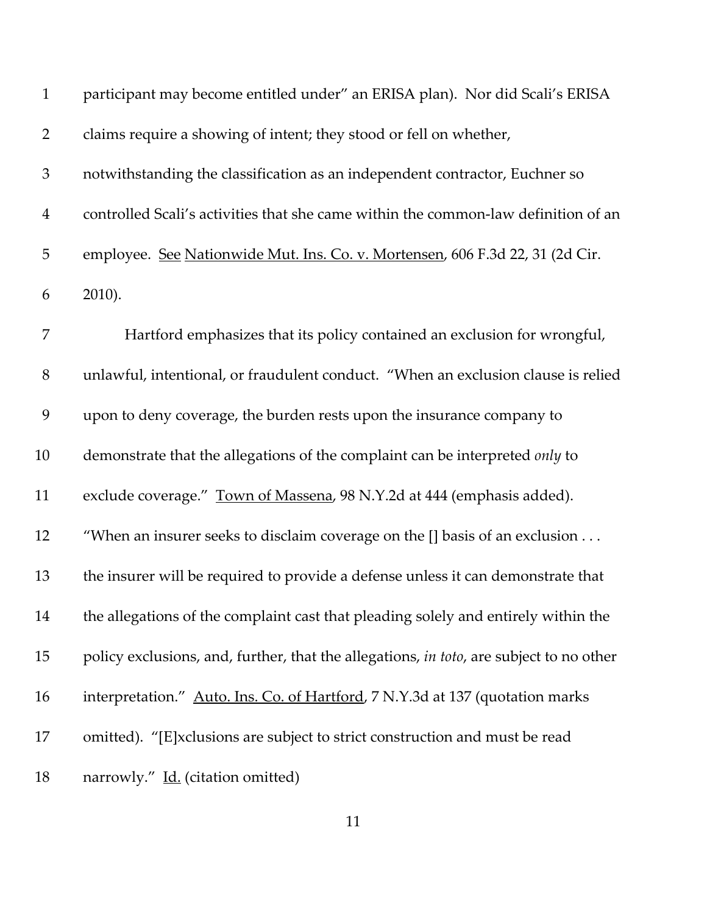| $\mathbf{1}$   | participant may become entitled under" an ERISA plan). Nor did Scali's ERISA            |
|----------------|-----------------------------------------------------------------------------------------|
| $\overline{2}$ | claims require a showing of intent; they stood or fell on whether,                      |
| $\mathfrak{Z}$ | notwithstanding the classification as an independent contractor, Euchner so             |
| $\overline{4}$ | controlled Scali's activities that she came within the common-law definition of an      |
| 5              | employee. See Nationwide Mut. Ins. Co. v. Mortensen, 606 F.3d 22, 31 (2d Cir.           |
| 6              | 2010).                                                                                  |
| 7              | Hartford emphasizes that its policy contained an exclusion for wrongful,                |
| $8\,$          | unlawful, intentional, or fraudulent conduct. "When an exclusion clause is relied       |
| 9              | upon to deny coverage, the burden rests upon the insurance company to                   |
| 10             | demonstrate that the allegations of the complaint can be interpreted only to            |
| 11             | exclude coverage." Town of Massena, 98 N.Y.2d at 444 (emphasis added).                  |
| 12             | "When an insurer seeks to disclaim coverage on the [] basis of an exclusion             |
| 13             | the insurer will be required to provide a defense unless it can demonstrate that        |
| 14             | the allegations of the complaint cast that pleading solely and entirely within the      |
| 15             | policy exclusions, and, further, that the allegations, in toto, are subject to no other |
| 16             | interpretation." Auto. Ins. Co. of Hartford, 7 N.Y.3d at 137 (quotation marks           |
| 17             | omitted). "[E]xclusions are subject to strict construction and must be read             |
| 18             | narrowly." Id. (citation omitted)                                                       |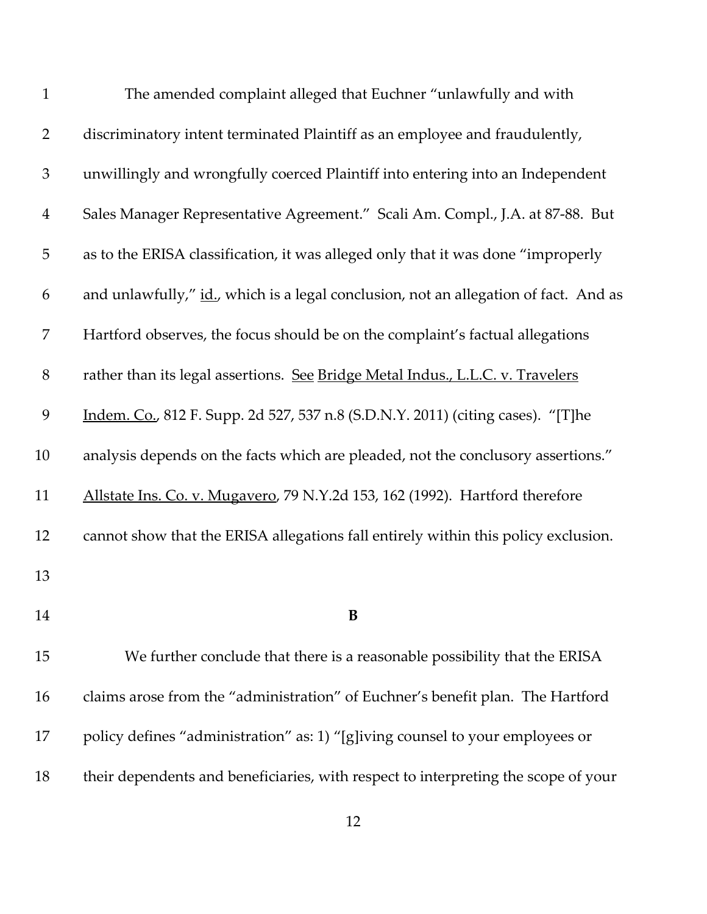| $\mathbf{1}$   | The amended complaint alleged that Euchner "unlawfully and with                      |
|----------------|--------------------------------------------------------------------------------------|
| $\overline{2}$ | discriminatory intent terminated Plaintiff as an employee and fraudulently,          |
| $\mathfrak{Z}$ | unwillingly and wrongfully coerced Plaintiff into entering into an Independent       |
| $\overline{4}$ | Sales Manager Representative Agreement." Scali Am. Compl., J.A. at 87-88. But        |
| 5              | as to the ERISA classification, it was alleged only that it was done "improperly     |
| 6              | and unlawfully," id., which is a legal conclusion, not an allegation of fact. And as |
| 7              | Hartford observes, the focus should be on the complaint's factual allegations        |
| 8              | rather than its legal assertions. See Bridge Metal Indus., L.L.C. v. Travelers       |
| 9              | Indem. Co., 812 F. Supp. 2d 527, 537 n.8 (S.D.N.Y. 2011) (citing cases). "[T]he      |
| 10             | analysis depends on the facts which are pleaded, not the conclusory assertions."     |
| 11             | Allstate Ins. Co. v. Mugavero, 79 N.Y.2d 153, 162 (1992). Hartford therefore         |
| 12             | cannot show that the ERISA allegations fall entirely within this policy exclusion.   |
| 13             |                                                                                      |
| 14             | B                                                                                    |
| 15             | We further conclude that there is a reasonable possibility that the ERISA            |
| 16             | claims arose from the "administration" of Euchner's benefit plan. The Hartford       |
| 17             | policy defines "administration" as: 1) "[g]iving counsel to your employees or        |
| 18             | their dependents and beneficiaries, with respect to interpreting the scope of your   |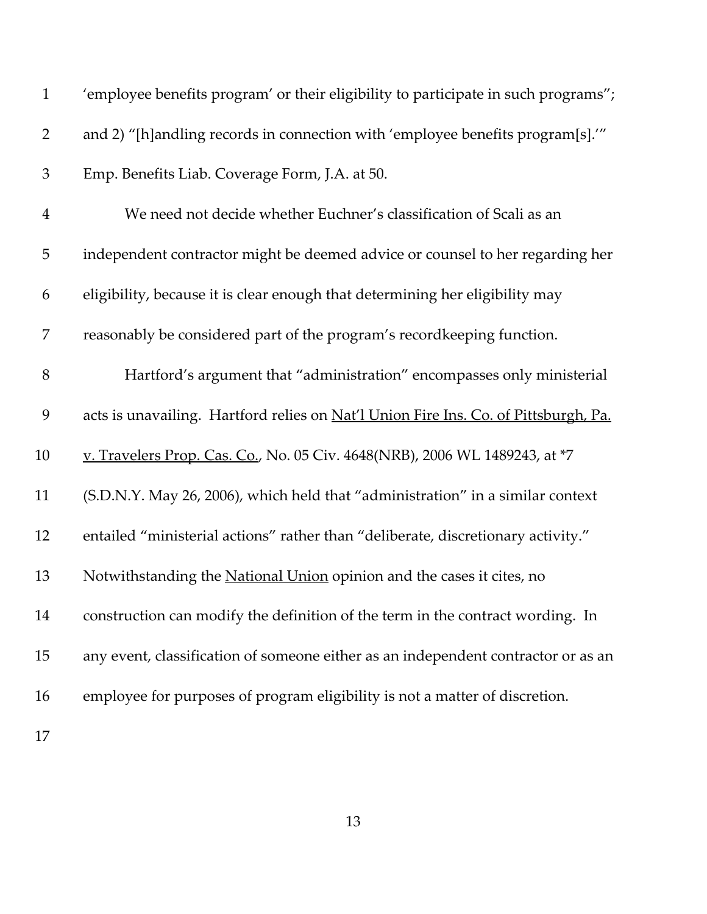| $\mathbf{1}$   | 'employee benefits program' or their eligibility to participate in such programs";  |
|----------------|-------------------------------------------------------------------------------------|
| $\overline{2}$ | and 2) "[h]andling records in connection with 'employee benefits program[s]."       |
| $\mathfrak{Z}$ | Emp. Benefits Liab. Coverage Form, J.A. at 50.                                      |
| $\overline{4}$ | We need not decide whether Euchner's classification of Scali as an                  |
| 5              | independent contractor might be deemed advice or counsel to her regarding her       |
| 6              | eligibility, because it is clear enough that determining her eligibility may        |
| 7              | reasonably be considered part of the program's recordkeeping function.              |
| $8\,$          | Hartford's argument that "administration" encompasses only ministerial              |
| 9              | acts is unavailing. Hartford relies on Nat'l Union Fire Ins. Co. of Pittsburgh, Pa. |
| 10             | v. Travelers Prop. Cas. Co., No. 05 Civ. 4648(NRB), 2006 WL 1489243, at *7          |
| 11             | (S.D.N.Y. May 26, 2006), which held that "administration" in a similar context      |
| 12             | entailed "ministerial actions" rather than "deliberate, discretionary activity."    |
| 13             | Notwithstanding the National Union opinion and the cases it cites, no               |
| 14             | construction can modify the definition of the term in the contract wording. In      |
| 15             | any event, classification of someone either as an independent contractor or as an   |
| 16             | employee for purposes of program eligibility is not a matter of discretion.         |
| 17             |                                                                                     |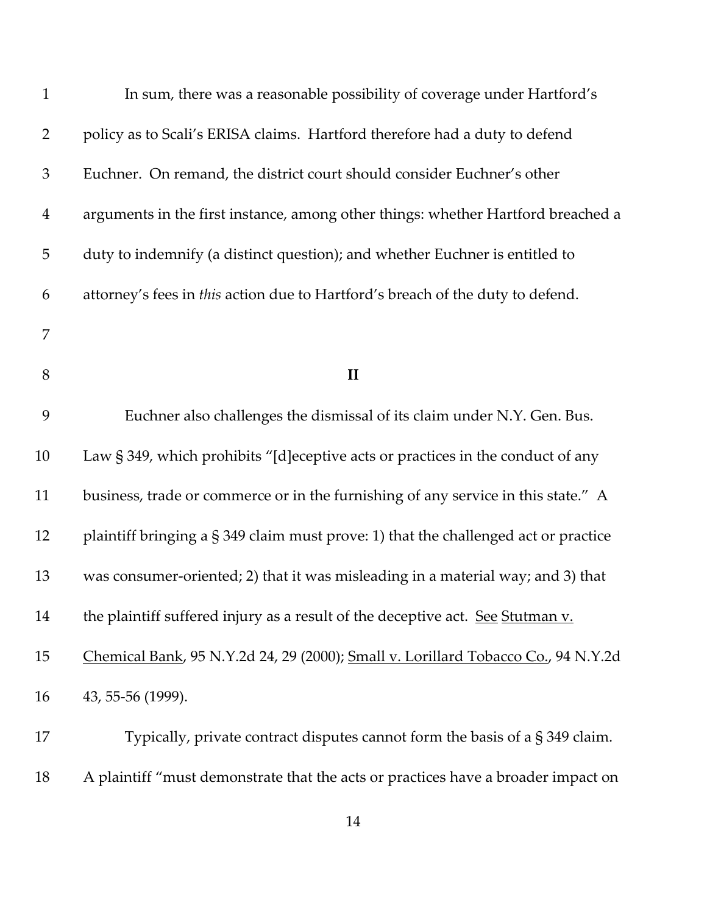| $\mathbf{1}$   | In sum, there was a reasonable possibility of coverage under Hartford's             |
|----------------|-------------------------------------------------------------------------------------|
| $\overline{2}$ | policy as to Scali's ERISA claims. Hartford therefore had a duty to defend          |
| $\mathfrak{Z}$ | Euchner. On remand, the district court should consider Euchner's other              |
| $\overline{4}$ | arguments in the first instance, among other things: whether Hartford breached a    |
| 5              | duty to indemnify (a distinct question); and whether Euchner is entitled to         |
| 6              | attorney's fees in this action due to Hartford's breach of the duty to defend.      |
| 7              |                                                                                     |
| 8              | $\mathbf{I}$                                                                        |
| 9              | Euchner also challenges the dismissal of its claim under N.Y. Gen. Bus.             |
| 10             | Law § 349, which prohibits "[d] eceptive acts or practices in the conduct of any    |
| 11             | business, trade or commerce or in the furnishing of any service in this state." A   |
| 12             | plaintiff bringing a § 349 claim must prove: 1) that the challenged act or practice |
| 13             | was consumer-oriented; 2) that it was misleading in a material way; and 3) that     |
| 14             | the plaintiff suffered injury as a result of the deceptive act. See Stutman v.      |
| 15             | Chemical Bank, 95 N.Y.2d 24, 29 (2000); Small v. Lorillard Tobacco Co., 94 N.Y.2d   |
| 16             | 43, 55-56 (1999).                                                                   |
| 17             | Typically, private contract disputes cannot form the basis of a $\S 349$ claim.     |
| 18             | A plaintiff "must demonstrate that the acts or practices have a broader impact on   |